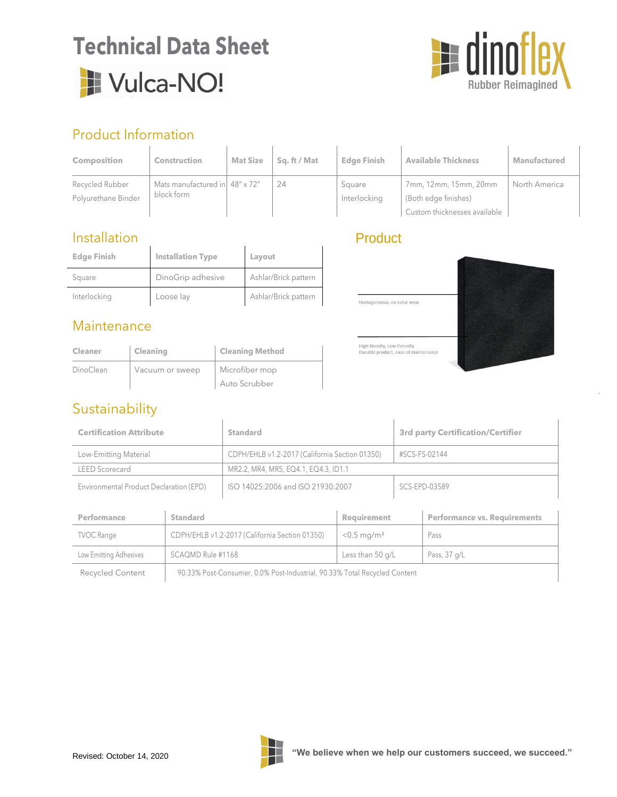# **Technical Data Sheet** Vulca-NO!



# Product Information

| <b>Composition</b>                     | <b>Construction</b>                                   | <b>Mat Size</b> | Sa. ft / Mat | <b>Edge Finish</b>     | <b>Available Thickness</b>                                                    | Manufactured  |
|----------------------------------------|-------------------------------------------------------|-----------------|--------------|------------------------|-------------------------------------------------------------------------------|---------------|
| Recycled Rubber<br>Polyurethane Binder | Mats manufactured in $48'' \times 72''$<br>block form |                 | 24           | Square<br>Interlocking | 7mm, 12mm, 15mm, 20mm<br>(Both edge finishes)<br>Custom thicknesses available | North America |

### Installation

| <b>Edge Finish</b> | <b>Installation Type</b> | Layout               |
|--------------------|--------------------------|----------------------|
| Square             | DinoGrip adhesive        | Ashlar/Brick pattern |
| Interlocking       | Loose lay                | Ashlar/Brick pattern |

### **Maintenance**

| <b>Cleaner</b> | <b>Cleaning</b> | <b>Cleaning Method</b> |
|----------------|-----------------|------------------------|
| DinoClean      | Vacuum or sweep | Microfiber mop         |
|                |                 | Auto Scrubber          |

## Sustainability

## Product



| <b>Certification Attribute</b>          |                                                | <b>Standard</b>                                                           |                           | <b>3rd party Certification/Certifier</b> |                                     |
|-----------------------------------------|------------------------------------------------|---------------------------------------------------------------------------|---------------------------|------------------------------------------|-------------------------------------|
| Low-Emitting Material                   |                                                | CDPH/EHLB v1.2-2017 (California Section 01350)                            |                           | #SCS-FS-02144                            |                                     |
| <b>LEED Scorecard</b>                   |                                                | MR2.2, MR4, MR5, EQ4.1, EQ4.3, ID1.1                                      |                           |                                          |                                     |
| Environmental Product Declaration (EPD) |                                                | ISO 14025:2006 and ISO 21930:2007                                         |                           | SCS-EPD-03589                            |                                     |
|                                         |                                                |                                                                           |                           |                                          |                                     |
| Performance                             | <b>Standard</b>                                |                                                                           | Requirement               |                                          | <b>Performance vs. Requirements</b> |
| <b>TVOC Range</b>                       | CDPH/EHLB v1.2-2017 (California Section 01350) |                                                                           | $< 0.5$ mg/m <sup>3</sup> |                                          | Pass                                |
| Low Emitting Adhesives                  | SCAQMD Rule #1168                              |                                                                           | Less than 50 g/L          |                                          | Pass, 37 g/L                        |
| <b>Recycled Content</b>                 |                                                | 90.33% Post-Consumer, 0.0% Post-Industrial, 90.33% Total Recycled Content |                           |                                          |                                     |